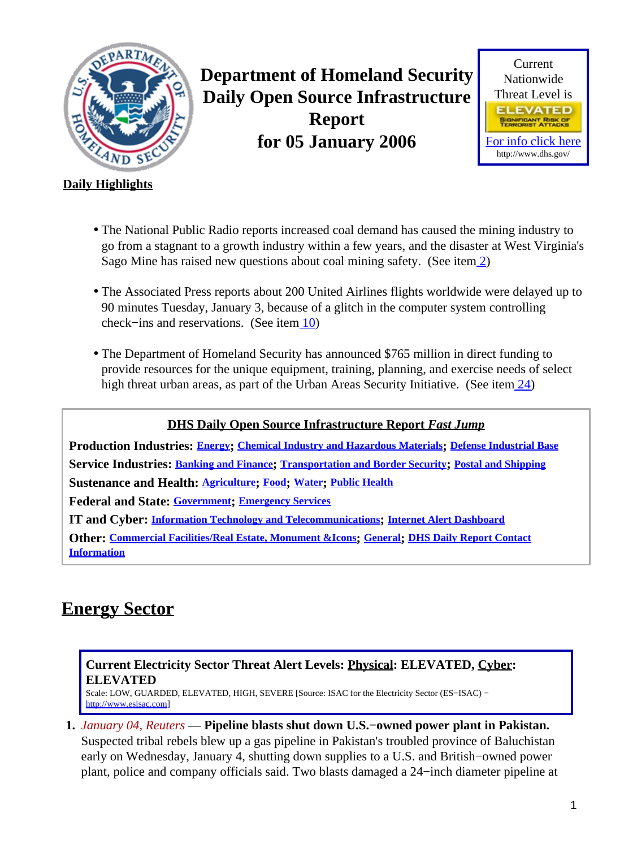<span id="page-0-1"></span>

**Department of Homeland Security Daily Open Source Infrastructure Report for 05 January 2006**



### **Daily Highlights**

- The National Public Radio reports increased coal demand has caused the mining industry to go from a stagnant to a growth industry within a few years, and the disaster at West Virginia's Sago Mine has raised new questions about coal mining safety. (See ite[m 2](#page-1-0))
- The Associated Press reports about 200 United Airlines flights worldwide were delayed up to 90 minutes Tuesday, January 3, because of a glitch in the computer system controlling check−ins and reservations. (See item [10\)](#page-4-0)
- The Department of Homeland Security has announced \$765 million in direct funding to provide resources for the unique equipment, training, planning, and exercise needs of select high threat urban areas, as part of the Urban Areas Security Initiative. (See item [24\)](#page-9-0)

### **DHS Daily Open Source Infrastructure Report** *Fast Jump*

**Production Industries: [Energy](#page-0-0); [Chemical Industry and Hazardous Materials](#page-1-1); [Defense Industrial Base](#page-1-2) Service Industries: [Banking and Finance](#page-2-0); [Transportation and Border Security](#page-4-1); [Postal and Shipping](#page-5-0) Sustenance and Health: [Agriculture](#page-5-1); [Food](#page-6-0); [Water](#page-6-1); [Public Health](#page-7-0) Federal and State: [Government](#page-8-0); [Emergency Services](#page-8-1)**

**IT and Cyber: [Information Technology and Telecommunications](#page-10-0); [Internet Alert Dashboard](#page-12-0)**

**Other: [Commercial Facilities/Real Estate, Monument &Icons](#page-13-0); [General](#page-14-0); [DHS Daily Report Contact](#page-14-1) [Information](#page-14-1)**

## <span id="page-0-0"></span>**Energy Sector**

### **Current Electricity Sector Threat Alert Levels: Physical: ELEVATED, Cyber: ELEVATED**

Scale: LOW, GUARDED, ELEVATED, HIGH, SEVERE [Source: ISAC for the Electricity Sector (ES−ISAC) − [http://www.esisac.com](http://esisac.com)]

**1.** *January 04, Reuters* — **Pipeline blasts shut down U.S.−owned power plant in Pakistan.** Suspected tribal rebels blew up a gas pipeline in Pakistan's troubled province of Baluchistan early on Wednesday, January 4, shutting down supplies to a U.S. and British−owned power plant, police and company officials said. Two blasts damaged a 24−inch diameter pipeline at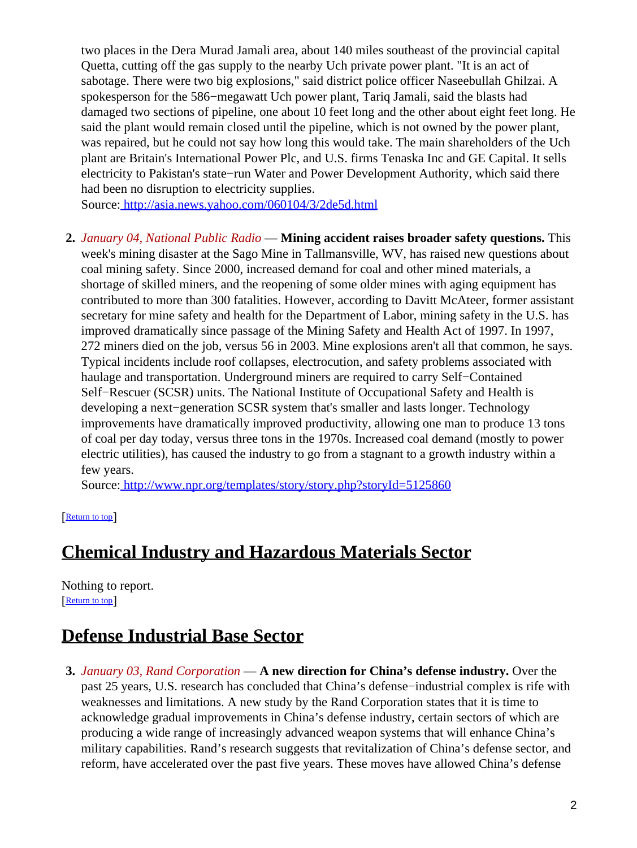two places in the Dera Murad Jamali area, about 140 miles southeast of the provincial capital Quetta, cutting off the gas supply to the nearby Uch private power plant. "It is an act of sabotage. There were two big explosions," said district police officer Naseebullah Ghilzai. A spokesperson for the 586−megawatt Uch power plant, Tariq Jamali, said the blasts had damaged two sections of pipeline, one about 10 feet long and the other about eight feet long. He said the plant would remain closed until the pipeline, which is not owned by the power plant, was repaired, but he could not say how long this would take. The main shareholders of the Uch plant are Britain's International Power Plc, and U.S. firms Tenaska Inc and GE Capital. It sells electricity to Pakistan's state−run Water and Power Development Authority, which said there had been no disruption to electricity supplies.

Source[: http://asia.news.yahoo.com/060104/3/2de5d.html](http://asia.news.yahoo.com/060104/3/2de5d.html)

<span id="page-1-0"></span>**2.** *January 04, National Public Radio* — **Mining accident raises broader safety questions.** This week's mining disaster at the Sago Mine in Tallmansville, WV, has raised new questions about coal mining safety. Since 2000, increased demand for coal and other mined materials, a shortage of skilled miners, and the reopening of some older mines with aging equipment has contributed to more than 300 fatalities. However, according to Davitt McAteer, former assistant secretary for mine safety and health for the Department of Labor, mining safety in the U.S. has improved dramatically since passage of the Mining Safety and Health Act of 1997. In 1997, 272 miners died on the job, versus 56 in 2003. Mine explosions aren't all that common, he says. Typical incidents include roof collapses, electrocution, and safety problems associated with haulage and transportation. Underground miners are required to carry Self−Contained Self−Rescuer (SCSR) units. The National Institute of Occupational Safety and Health is developing a next−generation SCSR system that's smaller and lasts longer. Technology improvements have dramatically improved productivity, allowing one man to produce 13 tons of coal per day today, versus three tons in the 1970s. Increased coal demand (mostly to power electric utilities), has caused the industry to go from a stagnant to a growth industry within a few years.

Source[: http://www.npr.org/templates/story/story.php?storyId=5125860](http://www.npr.org/templates/story/story.php?storyId=5125860)

[[Return to top](#page-0-1)]

# <span id="page-1-1"></span>**Chemical Industry and Hazardous Materials Sector**

Nothing to report. [[Return to top](#page-0-1)]

# <span id="page-1-2"></span>**Defense Industrial Base Sector**

**3.** *January 03, Rand Corporation* — **A new direction for China's defense industry.** Over the past 25 years, U.S. research has concluded that China's defense−industrial complex is rife with weaknesses and limitations. A new study by the Rand Corporation states that it is time to acknowledge gradual improvements in China's defense industry, certain sectors of which are producing a wide range of increasingly advanced weapon systems that will enhance China's military capabilities. Rand's research suggests that revitalization of China's defense sector, and reform, have accelerated over the past five years. These moves have allowed China's defense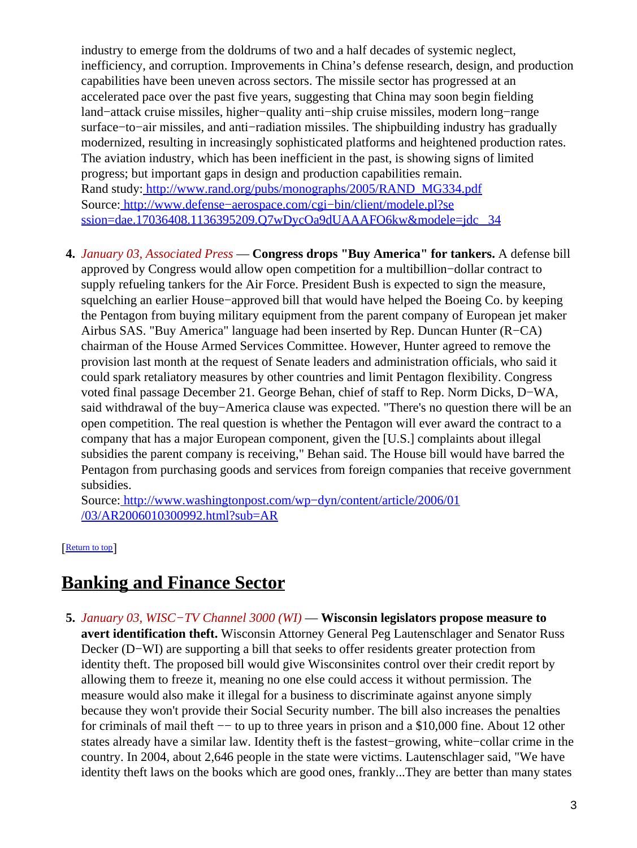industry to emerge from the doldrums of two and a half decades of systemic neglect, inefficiency, and corruption. Improvements in China's defense research, design, and production capabilities have been uneven across sectors. The missile sector has progressed at an accelerated pace over the past five years, suggesting that China may soon begin fielding land−attack cruise missiles, higher−quality anti−ship cruise missiles, modern long−range surface–to–air missiles, and anti–radiation missiles. The shipbuilding industry has gradually modernized, resulting in increasingly sophisticated platforms and heightened production rates. The aviation industry, which has been inefficient in the past, is showing signs of limited progress; but important gaps in design and production capabilities remain. Rand study: [http://www.rand.org/pubs/monographs/2005/RAND\\_MG334.pdf](http://www.rand.org/pubs/monographs/2005/RAND_MG334.pdf) Source[: http://www.defense−aerospace.com/cgi−bin/client/modele.pl?se](http://www.defense-aerospace.com/cgi-bin/client/modele.pl?session=dae.17036408.1136395209.Q7wDycOa9dUAAAFO6kw&modele=jdc_34) [ssion=dae.17036408.1136395209.Q7wDycOa9dUAAAFO6kw&modele=jdc \\_34](http://www.defense-aerospace.com/cgi-bin/client/modele.pl?session=dae.17036408.1136395209.Q7wDycOa9dUAAAFO6kw&modele=jdc_34)

**4.** *January 03, Associated Press* — **Congress drops "Buy America" for tankers.** A defense bill approved by Congress would allow open competition for a multibillion−dollar contract to supply refueling tankers for the Air Force. President Bush is expected to sign the measure, squelching an earlier House−approved bill that would have helped the Boeing Co. by keeping the Pentagon from buying military equipment from the parent company of European jet maker Airbus SAS. "Buy America" language had been inserted by Rep. Duncan Hunter (R−CA) chairman of the House Armed Services Committee. However, Hunter agreed to remove the provision last month at the request of Senate leaders and administration officials, who said it could spark retaliatory measures by other countries and limit Pentagon flexibility. Congress voted final passage December 21. George Behan, chief of staff to Rep. Norm Dicks, D−WA, said withdrawal of the buy−America clause was expected. "There's no question there will be an open competition. The real question is whether the Pentagon will ever award the contract to a company that has a major European component, given the [U.S.] complaints about illegal subsidies the parent company is receiving," Behan said. The House bill would have barred the Pentagon from purchasing goods and services from foreign companies that receive government subsidies.

Source[: http://www.washingtonpost.com/wp−dyn/content/article/2006/01](http://www.washingtonpost.com/wp-dyn/content/article/2006/01/03/AR2006010300992.html?sub=AR) [/03/AR2006010300992.html?sub=AR](http://www.washingtonpost.com/wp-dyn/content/article/2006/01/03/AR2006010300992.html?sub=AR)

[[Return to top](#page-0-1)]

## <span id="page-2-0"></span>**Banking and Finance Sector**

**5.** *January 03, WISC−TV Channel 3000 (WI)* — **Wisconsin legislators propose measure to avert identification theft.** Wisconsin Attorney General Peg Lautenschlager and Senator Russ Decker (D−WI) are supporting a bill that seeks to offer residents greater protection from identity theft. The proposed bill would give Wisconsinites control over their credit report by allowing them to freeze it, meaning no one else could access it without permission. The measure would also make it illegal for a business to discriminate against anyone simply because they won't provide their Social Security number. The bill also increases the penalties for criminals of mail theft — to up to three years in prison and a \$10,000 fine. About 12 other states already have a similar law. Identity theft is the fastest−growing, white−collar crime in the country. In 2004, about 2,646 people in the state were victims. Lautenschlager said, "We have identity theft laws on the books which are good ones, frankly...They are better than many states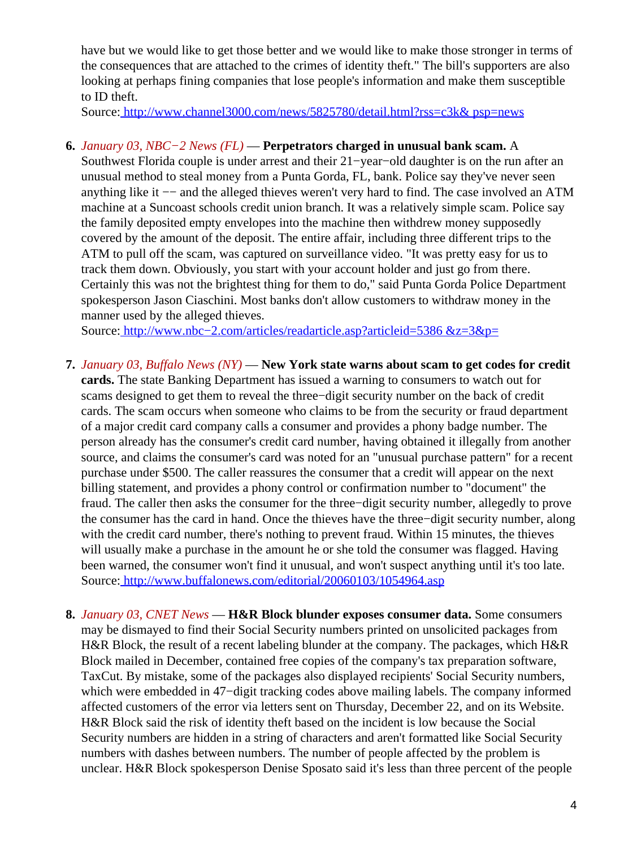have but we would like to get those better and we would like to make those stronger in terms of the consequences that are attached to the crimes of identity theft." The bill's supporters are also looking at perhaps fining companies that lose people's information and make them susceptible to ID theft.

Source[: http://www.channel3000.com/news/5825780/detail.html?rss=c3k& psp=news](http://www.channel3000.com/news/5825780/detail.html?rss=c3k&psp=news)

#### **6.** *January 03, NBC−2 News (FL)* — **Perpetrators charged in unusual bank scam.** A

Southwest Florida couple is under arrest and their 21−year−old daughter is on the run after an unusual method to steal money from a Punta Gorda, FL, bank. Police say they've never seen anything like it −− and the alleged thieves weren't very hard to find. The case involved an ATM machine at a Suncoast schools credit union branch. It was a relatively simple scam. Police say the family deposited empty envelopes into the machine then withdrew money supposedly covered by the amount of the deposit. The entire affair, including three different trips to the ATM to pull off the scam, was captured on surveillance video. "It was pretty easy for us to track them down. Obviously, you start with your account holder and just go from there. Certainly this was not the brightest thing for them to do," said Punta Gorda Police Department spokesperson Jason Ciaschini. Most banks don't allow customers to withdraw money in the manner used by the alleged thieves.

Source[: http://www.nbc−2.com/articles/readarticle.asp?articleid=5386 &z=3&p=](http://www.nbc-2.com/articles/readarticle.asp?articleid=5386&z=3&p=)

- **7.** *January 03, Buffalo News (NY)* — **New York state warns about scam to get codes for credit cards.** The state Banking Department has issued a warning to consumers to watch out for scams designed to get them to reveal the three−digit security number on the back of credit cards. The scam occurs when someone who claims to be from the security or fraud department of a major credit card company calls a consumer and provides a phony badge number. The person already has the consumer's credit card number, having obtained it illegally from another source, and claims the consumer's card was noted for an "unusual purchase pattern" for a recent purchase under \$500. The caller reassures the consumer that a credit will appear on the next billing statement, and provides a phony control or confirmation number to "document" the fraud. The caller then asks the consumer for the three−digit security number, allegedly to prove the consumer has the card in hand. Once the thieves have the three−digit security number, along with the credit card number, there's nothing to prevent fraud. Within 15 minutes, the thieves will usually make a purchase in the amount he or she told the consumer was flagged. Having been warned, the consumer won't find it unusual, and won't suspect anything until it's too late. Source[: http://www.buffalonews.com/editorial/20060103/1054964.asp](http://www.buffalonews.com/editorial/20060103/1054964.asp)
- **8.** *January 03, CNET News* — **H&R Block blunder exposes consumer data.** Some consumers may be dismayed to find their Social Security numbers printed on unsolicited packages from H&R Block, the result of a recent labeling blunder at the company. The packages, which H&R Block mailed in December, contained free copies of the company's tax preparation software, TaxCut. By mistake, some of the packages also displayed recipients' Social Security numbers, which were embedded in 47−digit tracking codes above mailing labels. The company informed affected customers of the error via letters sent on Thursday, December 22, and on its Website. H&R Block said the risk of identity theft based on the incident is low because the Social Security numbers are hidden in a string of characters and aren't formatted like Social Security numbers with dashes between numbers. The number of people affected by the problem is unclear. H&R Block spokesperson Denise Sposato said it's less than three percent of the people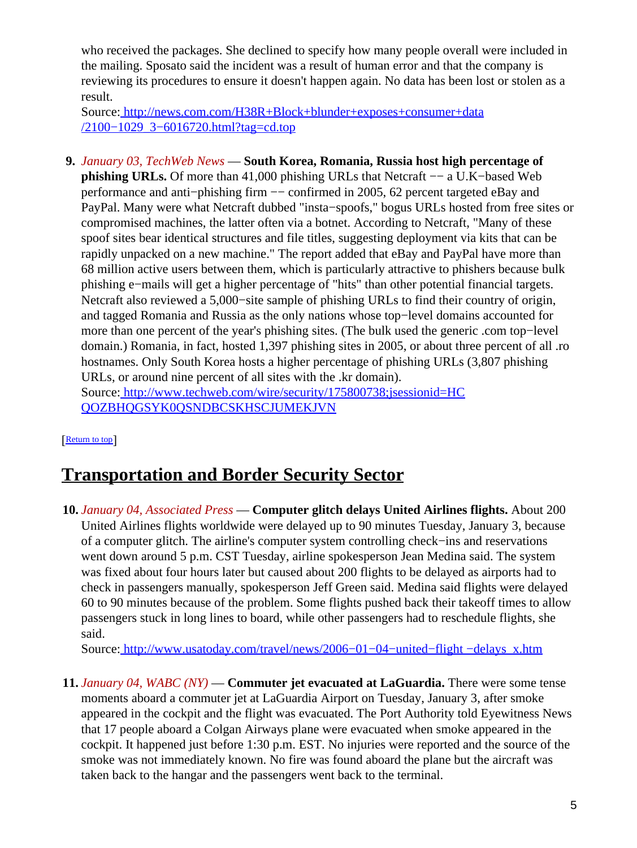who received the packages. She declined to specify how many people overall were included in the mailing. Sposato said the incident was a result of human error and that the company is reviewing its procedures to ensure it doesn't happen again. No data has been lost or stolen as a result.

Source[: http://news.com.com/H38R+Block+blunder+exposes+consumer+data](http://news.com.com/H38R+Block+blunder+exposes+consumer+data/2100-1029_3-6016720.html?tag=cd.top) [/2100−1029\\_3−6016720.html?tag=cd.top](http://news.com.com/H38R+Block+blunder+exposes+consumer+data/2100-1029_3-6016720.html?tag=cd.top)

**9.** *January 03, TechWeb News* — **South Korea, Romania, Russia host high percentage of phishing URLs.** Of more than 41,000 phishing URLs that Netcraft –− a U.K–based Web performance and anti−phishing firm −− confirmed in 2005, 62 percent targeted eBay and PayPal. Many were what Netcraft dubbed "insta−spoofs," bogus URLs hosted from free sites or compromised machines, the latter often via a botnet. According to Netcraft, "Many of these spoof sites bear identical structures and file titles, suggesting deployment via kits that can be rapidly unpacked on a new machine." The report added that eBay and PayPal have more than 68 million active users between them, which is particularly attractive to phishers because bulk phishing e−mails will get a higher percentage of "hits" than other potential financial targets. Netcraft also reviewed a 5,000−site sample of phishing URLs to find their country of origin, and tagged Romania and Russia as the only nations whose top−level domains accounted for more than one percent of the year's phishing sites. (The bulk used the generic .com top−level domain.) Romania, in fact, hosted 1,397 phishing sites in 2005, or about three percent of all .ro hostnames. Only South Korea hosts a higher percentage of phishing URLs (3,807 phishing URLs, or around nine percent of all sites with the .kr domain). Source[: http://www.techweb.com/wire/security/175800738;jsessionid=HC](http://www.techweb.com/wire/security/175800738;jsessionid=HCQOZBHQGSYK0QSNDBCSKHSCJUMEKJVN) [QOZBHQGSYK0QSNDBCSKHSCJUMEKJVN](http://www.techweb.com/wire/security/175800738;jsessionid=HCQOZBHQGSYK0QSNDBCSKHSCJUMEKJVN)

[[Return to top](#page-0-1)]

# <span id="page-4-1"></span>**Transportation and Border Security Sector**

<span id="page-4-0"></span>**10.** *January 04, Associated Press* — **Computer glitch delays United Airlines flights.** About 200 United Airlines flights worldwide were delayed up to 90 minutes Tuesday, January 3, because of a computer glitch. The airline's computer system controlling check−ins and reservations went down around 5 p.m. CST Tuesday, airline spokesperson Jean Medina said. The system was fixed about four hours later but caused about 200 flights to be delayed as airports had to check in passengers manually, spokesperson Jeff Green said. Medina said flights were delayed 60 to 90 minutes because of the problem. Some flights pushed back their takeoff times to allow passengers stuck in long lines to board, while other passengers had to reschedule flights, she said.

Source[: http://www.usatoday.com/travel/news/2006−01−04−united−flight −delays\\_x.htm](http://www.usatoday.com/travel/news/2006-01-04-united-flight-delays_x.htm)

**11.** *January 04, WABC (NY)* — **Commuter jet evacuated at LaGuardia.** There were some tense moments aboard a commuter jet at LaGuardia Airport on Tuesday, January 3, after smoke appeared in the cockpit and the flight was evacuated. The Port Authority told Eyewitness News that 17 people aboard a Colgan Airways plane were evacuated when smoke appeared in the cockpit. It happened just before 1:30 p.m. EST. No injuries were reported and the source of the smoke was not immediately known. No fire was found aboard the plane but the aircraft was taken back to the hangar and the passengers went back to the terminal.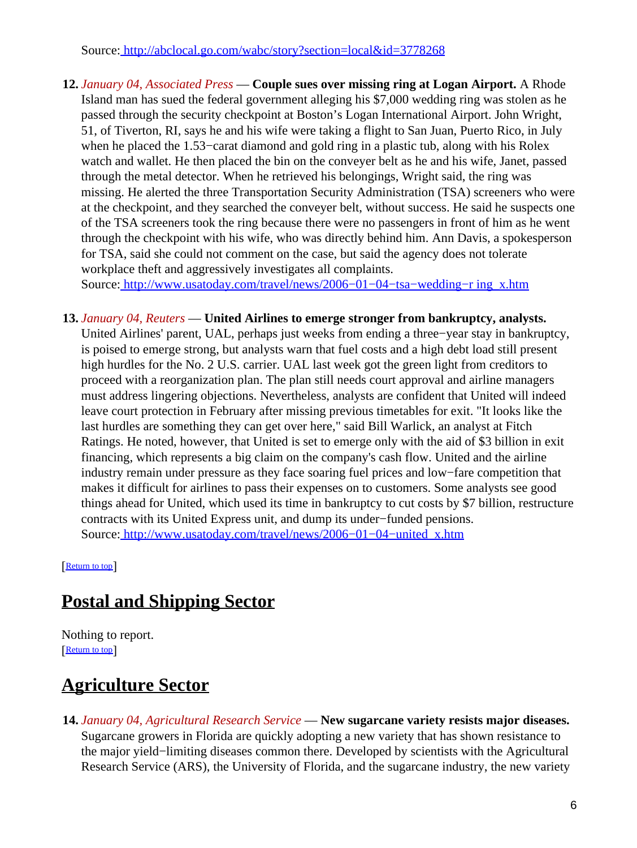Source[: http://abclocal.go.com/wabc/story?section=local&id=3778268](http://abclocal.go.com/wabc/story?section=local&id=3778268)

**12.** *January 04, Associated Press* — **Couple sues over missing ring at Logan Airport.** A Rhode Island man has sued the federal government alleging his \$7,000 wedding ring was stolen as he passed through the security checkpoint at Boston's Logan International Airport. John Wright, 51, of Tiverton, RI, says he and his wife were taking a flight to San Juan, Puerto Rico, in July when he placed the 1.53−carat diamond and gold ring in a plastic tub, along with his Rolex watch and wallet. He then placed the bin on the conveyer belt as he and his wife, Janet, passed through the metal detector. When he retrieved his belongings, Wright said, the ring was missing. He alerted the three Transportation Security Administration (TSA) screeners who were at the checkpoint, and they searched the conveyer belt, without success. He said he suspects one of the TSA screeners took the ring because there were no passengers in front of him as he went through the checkpoint with his wife, who was directly behind him. Ann Davis, a spokesperson for TSA, said she could not comment on the case, but said the agency does not tolerate workplace theft and aggressively investigates all complaints.

Source[: http://www.usatoday.com/travel/news/2006−01−04−tsa−wedding−r ing\\_x.htm](http://www.usatoday.com/travel/news/2006-01-04-tsa-wedding-ring_x.htm)

**13.** *January 04, Reuters* — **United Airlines to emerge stronger from bankruptcy, analysts.** United Airlines' parent, UAL, perhaps just weeks from ending a three−year stay in bankruptcy, is poised to emerge strong, but analysts warn that fuel costs and a high debt load still present high hurdles for the No. 2 U.S. carrier. UAL last week got the green light from creditors to proceed with a reorganization plan. The plan still needs court approval and airline managers must address lingering objections. Nevertheless, analysts are confident that United will indeed leave court protection in February after missing previous timetables for exit. "It looks like the last hurdles are something they can get over here," said Bill Warlick, an analyst at Fitch Ratings. He noted, however, that United is set to emerge only with the aid of \$3 billion in exit financing, which represents a big claim on the company's cash flow. United and the airline industry remain under pressure as they face soaring fuel prices and low−fare competition that makes it difficult for airlines to pass their expenses on to customers. Some analysts see good things ahead for United, which used its time in bankruptcy to cut costs by \$7 billion, restructure contracts with its United Express unit, and dump its under−funded pensions. Source[: http://www.usatoday.com/travel/news/2006−01−04−united\\_x.htm](http://www.usatoday.com/travel/news/2006-01-04-united_x.htm)

[[Return to top](#page-0-1)]

# <span id="page-5-0"></span>**Postal and Shipping Sector**

Nothing to report. [[Return to top](#page-0-1)]

# <span id="page-5-1"></span>**Agriculture Sector**

**14.** *January 04, Agricultural Research Service* — **New sugarcane variety resists major diseases.** Sugarcane growers in Florida are quickly adopting a new variety that has shown resistance to the major yield−limiting diseases common there. Developed by scientists with the Agricultural Research Service (ARS), the University of Florida, and the sugarcane industry, the new variety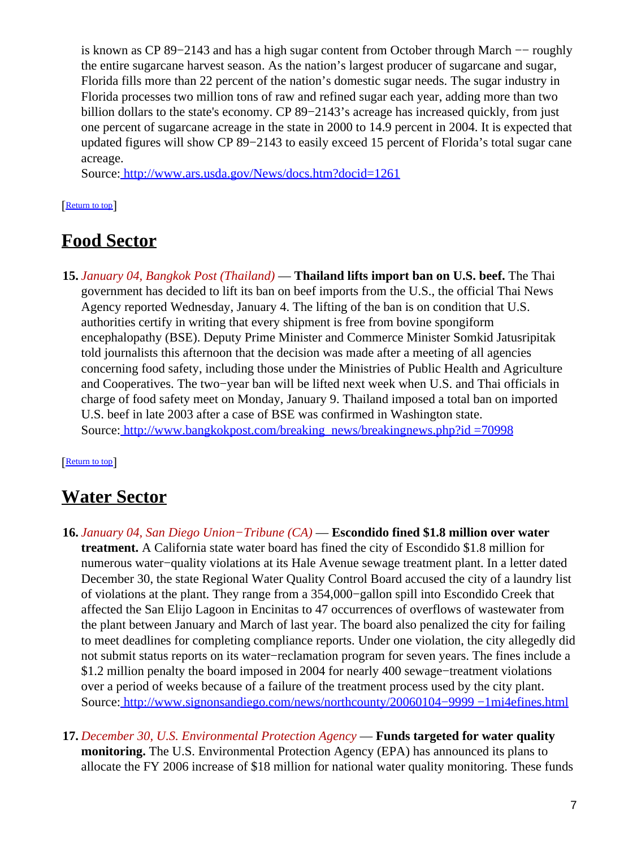is known as CP 89−2143 and has a high sugar content from October through March −− roughly the entire sugarcane harvest season. As the nation's largest producer of sugarcane and sugar, Florida fills more than 22 percent of the nation's domestic sugar needs. The sugar industry in Florida processes two million tons of raw and refined sugar each year, adding more than two billion dollars to the state's economy. CP 89−2143's acreage has increased quickly, from just one percent of sugarcane acreage in the state in 2000 to 14.9 percent in 2004. It is expected that updated figures will show CP 89−2143 to easily exceed 15 percent of Florida's total sugar cane acreage.

Source[: http://www.ars.usda.gov/News/docs.htm?docid=1261](http://www.ars.usda.gov/News/docs.htm?docid=1261)

#### [[Return to top](#page-0-1)]

### <span id="page-6-0"></span>**Food Sector**

**15.** *January 04, Bangkok Post (Thailand)* — **Thailand lifts import ban on U.S. beef.** The Thai government has decided to lift its ban on beef imports from the U.S., the official Thai News Agency reported Wednesday, January 4. The lifting of the ban is on condition that U.S. authorities certify in writing that every shipment is free from bovine spongiform encephalopathy (BSE). Deputy Prime Minister and Commerce Minister Somkid Jatusripitak told journalists this afternoon that the decision was made after a meeting of all agencies concerning food safety, including those under the Ministries of Public Health and Agriculture and Cooperatives. The two−year ban will be lifted next week when U.S. and Thai officials in charge of food safety meet on Monday, January 9. Thailand imposed a total ban on imported U.S. beef in late 2003 after a case of BSE was confirmed in Washington state. Source[: http://www.bangkokpost.com/breaking\\_news/breakingnews.php?id =70998](http://www.bangkokpost.com/breaking_news/breakingnews.php?id=70998)

#### [[Return to top](#page-0-1)]

## <span id="page-6-1"></span>**Water Sector**

- **16.** *January 04, San Diego Union−Tribune (CA)* — **Escondido fined \$1.8 million over water treatment.** A California state water board has fined the city of Escondido \$1.8 million for numerous water−quality violations at its Hale Avenue sewage treatment plant. In a letter dated December 30, the state Regional Water Quality Control Board accused the city of a laundry list of violations at the plant. They range from a 354,000−gallon spill into Escondido Creek that affected the San Elijo Lagoon in Encinitas to 47 occurrences of overflows of wastewater from the plant between January and March of last year. The board also penalized the city for failing to meet deadlines for completing compliance reports. Under one violation, the city allegedly did not submit status reports on its water−reclamation program for seven years. The fines include a \$1.2 million penalty the board imposed in 2004 for nearly 400 sewage−treatment violations over a period of weeks because of a failure of the treatment process used by the city plant. Source[: http://www.signonsandiego.com/news/northcounty/20060104−9999 −1mi4efines.html](http://www.signonsandiego.com/news/northcounty/20060104-9999-1mi4efines.html)
- **17.** *December 30, U.S. Environmental Protection Agency* — **Funds targeted for water quality monitoring.** The U.S. Environmental Protection Agency (EPA) has announced its plans to allocate the FY 2006 increase of \$18 million for national water quality monitoring. These funds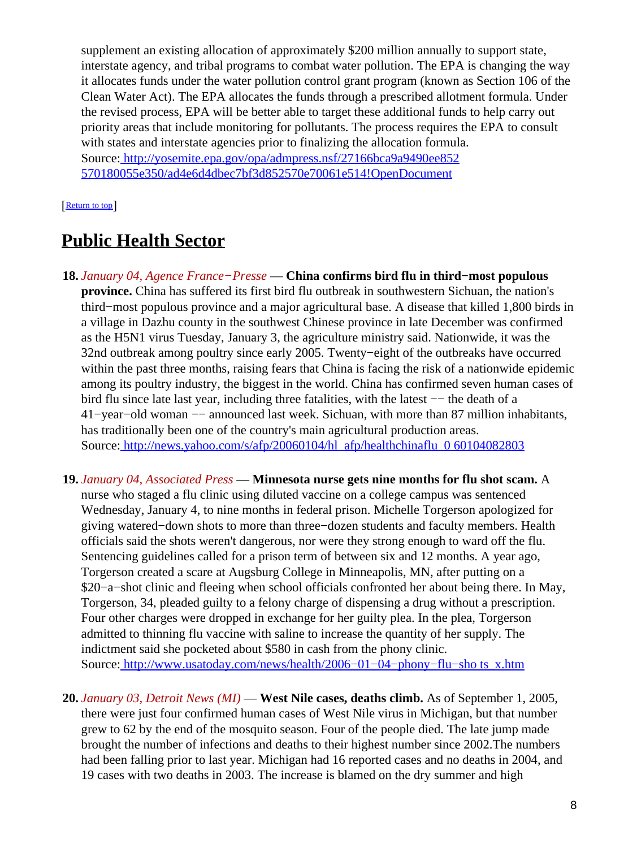supplement an existing allocation of approximately \$200 million annually to support state, interstate agency, and tribal programs to combat water pollution. The EPA is changing the way it allocates funds under the water pollution control grant program (known as Section 106 of the Clean Water Act). The EPA allocates the funds through a prescribed allotment formula. Under the revised process, EPA will be better able to target these additional funds to help carry out priority areas that include monitoring for pollutants. The process requires the EPA to consult with states and interstate agencies prior to finalizing the allocation formula. Source[: http://yosemite.epa.gov/opa/admpress.nsf/27166bca9a9490ee852](http://yosemite.epa.gov/opa/admpress.nsf/27166bca9a9490ee852570180055e350/ad4e6d4dbec7bf3d852570e70061e514!OpenDocument) [570180055e350/ad4e6d4dbec7bf3d852570e70061e514!OpenDocument](http://yosemite.epa.gov/opa/admpress.nsf/27166bca9a9490ee852570180055e350/ad4e6d4dbec7bf3d852570e70061e514!OpenDocument)

#### [[Return to top](#page-0-1)]

### <span id="page-7-0"></span>**Public Health Sector**

- **18.** *January 04, Agence France−Presse* — **China confirms bird flu in third−most populous province.** China has suffered its first bird flu outbreak in southwestern Sichuan, the nation's third−most populous province and a major agricultural base. A disease that killed 1,800 birds in a village in Dazhu county in the southwest Chinese province in late December was confirmed as the H5N1 virus Tuesday, January 3, the agriculture ministry said. Nationwide, it was the 32nd outbreak among poultry since early 2005. Twenty−eight of the outbreaks have occurred within the past three months, raising fears that China is facing the risk of a nationwide epidemic among its poultry industry, the biggest in the world. China has confirmed seven human cases of bird flu since late last year, including three fatalities, with the latest −− the death of a 41−year−old woman −− announced last week. Sichuan, with more than 87 million inhabitants, has traditionally been one of the country's main agricultural production areas. Source[: http://news.yahoo.com/s/afp/20060104/hl\\_afp/healthchinaflu\\_0 60104082803](http://news.yahoo.com/s/afp/20060104/hl_afp/healthchinaflu_060104082803)
- **19.** *January 04, Associated Press* — **Minnesota nurse gets nine months for flu shot scam.** A nurse who staged a flu clinic using diluted vaccine on a college campus was sentenced Wednesday, January 4, to nine months in federal prison. Michelle Torgerson apologized for giving watered−down shots to more than three−dozen students and faculty members. Health officials said the shots weren't dangerous, nor were they strong enough to ward off the flu. Sentencing guidelines called for a prison term of between six and 12 months. A year ago, Torgerson created a scare at Augsburg College in Minneapolis, MN, after putting on a \$20−a−shot clinic and fleeing when school officials confronted her about being there. In May, Torgerson, 34, pleaded guilty to a felony charge of dispensing a drug without a prescription. Four other charges were dropped in exchange for her guilty plea. In the plea, Torgerson admitted to thinning flu vaccine with saline to increase the quantity of her supply. The indictment said she pocketed about \$580 in cash from the phony clinic. Source[: http://www.usatoday.com/news/health/2006−01−04−phony−flu−sho ts\\_x.htm](http://www.usatoday.com/news/health/2006-01-04-phony-flu-shots_x.htm)
- **20.** *January 03, Detroit News (MI)* — **West Nile cases, deaths climb.** As of September 1, 2005, there were just four confirmed human cases of West Nile virus in Michigan, but that number grew to 62 by the end of the mosquito season. Four of the people died. The late jump made brought the number of infections and deaths to their highest number since 2002.The numbers had been falling prior to last year. Michigan had 16 reported cases and no deaths in 2004, and 19 cases with two deaths in 2003. The increase is blamed on the dry summer and high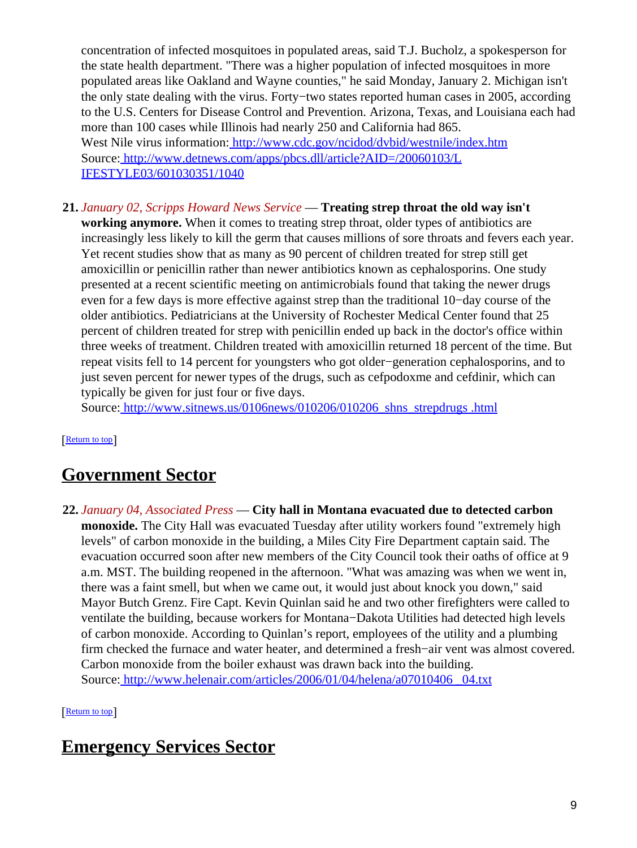concentration of infected mosquitoes in populated areas, said T.J. Bucholz, a spokesperson for the state health department. "There was a higher population of infected mosquitoes in more populated areas like Oakland and Wayne counties," he said Monday, January 2. Michigan isn't the only state dealing with the virus. Forty−two states reported human cases in 2005, according to the U.S. Centers for Disease Control and Prevention. Arizona, Texas, and Louisiana each had more than 100 cases while Illinois had nearly 250 and California had 865. West Nile virus information[: http://www.cdc.gov/ncidod/dvbid/westnile/index.htm](http://www.cdc.gov/ncidod/dvbid/westnile/index.htm) Source[: http://www.detnews.com/apps/pbcs.dll/article?AID=/20060103/L](http://www.detnews.com/apps/pbcs.dll/article?AID=/20060103/LIFESTYLE03/601030351/1040) [IFESTYLE03/601030351/1040](http://www.detnews.com/apps/pbcs.dll/article?AID=/20060103/LIFESTYLE03/601030351/1040)

**21.** *January 02, Scripps Howard News Service* — **Treating strep throat the old way isn't working anymore.** When it comes to treating strep throat, older types of antibiotics are increasingly less likely to kill the germ that causes millions of sore throats and fevers each year. Yet recent studies show that as many as 90 percent of children treated for strep still get amoxicillin or penicillin rather than newer antibiotics known as cephalosporins. One study presented at a recent scientific meeting on antimicrobials found that taking the newer drugs even for a few days is more effective against strep than the traditional 10−day course of the older antibiotics. Pediatricians at the University of Rochester Medical Center found that 25 percent of children treated for strep with penicillin ended up back in the doctor's office within three weeks of treatment. Children treated with amoxicillin returned 18 percent of the time. But repeat visits fell to 14 percent for youngsters who got older−generation cephalosporins, and to just seven percent for newer types of the drugs, such as cefpodoxme and cefdinir, which can typically be given for just four or five days.

Source[: http://www.sitnews.us/0106news/010206/010206\\_shns\\_strepdrugs .html](http://www.sitnews.us/0106news/010206/010206_shns_strepdrugs.html)

[[Return to top](#page-0-1)]

### <span id="page-8-0"></span>**Government Sector**

**22.** *January 04, Associated Press* — **City hall in Montana evacuated due to detected carbon monoxide.** The City Hall was evacuated Tuesday after utility workers found "extremely high levels" of carbon monoxide in the building, a Miles City Fire Department captain said. The evacuation occurred soon after new members of the City Council took their oaths of office at 9 a.m. MST. The building reopened in the afternoon. "What was amazing was when we went in, there was a faint smell, but when we came out, it would just about knock you down," said Mayor Butch Grenz. Fire Capt. Kevin Quinlan said he and two other firefighters were called to ventilate the building, because workers for Montana−Dakota Utilities had detected high levels of carbon monoxide. According to Quinlan's report, employees of the utility and a plumbing firm checked the furnace and water heater, and determined a fresh−air vent was almost covered. Carbon monoxide from the boiler exhaust was drawn back into the building. Source[: http://www.helenair.com/articles/2006/01/04/helena/a07010406 \\_04.txt](http://www.helenair.com/articles/2006/01/04/helena/a07010406_04.txt)

[[Return to top](#page-0-1)]

### <span id="page-8-1"></span>**Emergency Services Sector**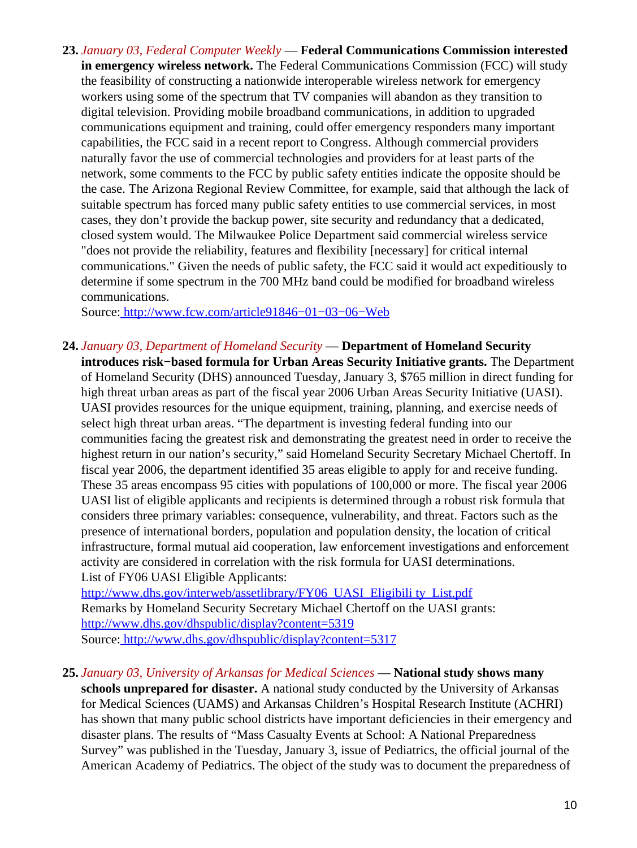**23.** *January 03, Federal Computer Weekly* — **Federal Communications Commission interested in emergency wireless network.** The Federal Communications Commission (FCC) will study the feasibility of constructing a nationwide interoperable wireless network for emergency workers using some of the spectrum that TV companies will abandon as they transition to digital television. Providing mobile broadband communications, in addition to upgraded communications equipment and training, could offer emergency responders many important capabilities, the FCC said in a recent report to Congress. Although commercial providers naturally favor the use of commercial technologies and providers for at least parts of the network, some comments to the FCC by public safety entities indicate the opposite should be the case. The Arizona Regional Review Committee, for example, said that although the lack of suitable spectrum has forced many public safety entities to use commercial services, in most cases, they don't provide the backup power, site security and redundancy that a dedicated, closed system would. The Milwaukee Police Department said commercial wireless service "does not provide the reliability, features and flexibility [necessary] for critical internal communications." Given the needs of public safety, the FCC said it would act expeditiously to determine if some spectrum in the 700 MHz band could be modified for broadband wireless communications.

Source[: http://www.fcw.com/article91846−01−03−06−Web](http://www.fcw.com/article91846-01-03-06-Web)

<span id="page-9-0"></span>**24.** *January 03, Department of Homeland Security* — **Department of Homeland Security introduces risk−based formula for Urban Areas Security Initiative grants.** The Department of Homeland Security (DHS) announced Tuesday, January 3, \$765 million in direct funding for high threat urban areas as part of the fiscal year 2006 Urban Areas Security Initiative (UASI). UASI provides resources for the unique equipment, training, planning, and exercise needs of select high threat urban areas. "The department is investing federal funding into our communities facing the greatest risk and demonstrating the greatest need in order to receive the highest return in our nation's security," said Homeland Security Secretary Michael Chertoff. In fiscal year 2006, the department identified 35 areas eligible to apply for and receive funding. These 35 areas encompass 95 cities with populations of 100,000 or more. The fiscal year 2006 UASI list of eligible applicants and recipients is determined through a robust risk formula that considers three primary variables: consequence, vulnerability, and threat. Factors such as the presence of international borders, population and population density, the location of critical infrastructure, formal mutual aid cooperation, law enforcement investigations and enforcement activity are considered in correlation with the risk formula for UASI determinations. List of FY06 UASI Eligible Applicants:

[http://www.dhs.gov/interweb/assetlibrary/FY06\\_UASI\\_Eligibili ty\\_List.pdf](http://www.dhs.gov/interweb/assetlibrary/FY06_UASI_Eligibility_List.pdf) Remarks by Homeland Security Secretary Michael Chertoff on the UASI grants: <http://www.dhs.gov/dhspublic/display?content=5319> Source[: http://www.dhs.gov/dhspublic/display?content=5317](http://www.dhs.gov/dhspublic/display?content=5317)

**25.** *January 03, University of Arkansas for Medical Sciences* — **National study shows many**

**schools unprepared for disaster.** A national study conducted by the University of Arkansas for Medical Sciences (UAMS) and Arkansas Children's Hospital Research Institute (ACHRI) has shown that many public school districts have important deficiencies in their emergency and disaster plans. The results of "Mass Casualty Events at School: A National Preparedness Survey" was published in the Tuesday, January 3, issue of Pediatrics, the official journal of the American Academy of Pediatrics. The object of the study was to document the preparedness of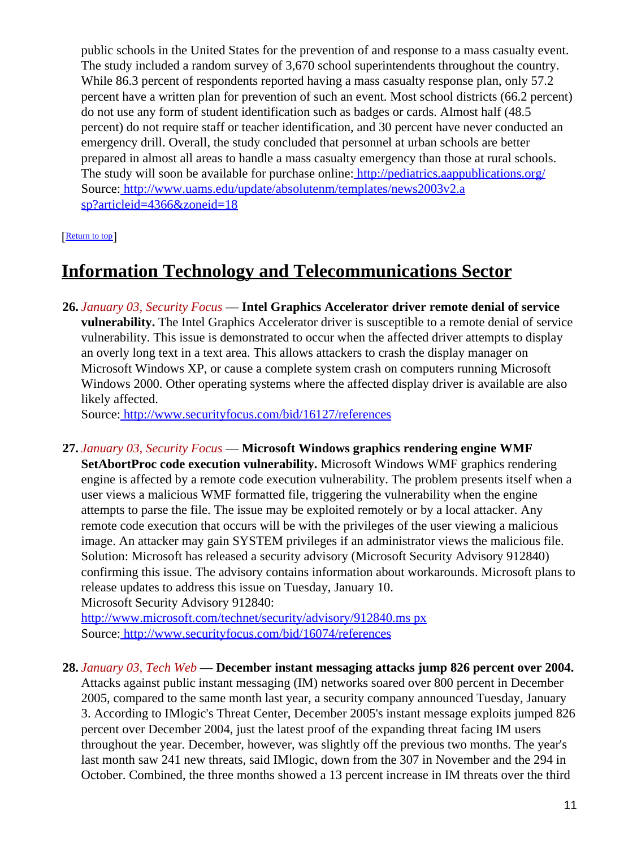public schools in the United States for the prevention of and response to a mass casualty event. The study included a random survey of 3,670 school superintendents throughout the country. While 86.3 percent of respondents reported having a mass casualty response plan, only 57.2 percent have a written plan for prevention of such an event. Most school districts (66.2 percent) do not use any form of student identification such as badges or cards. Almost half (48.5 percent) do not require staff or teacher identification, and 30 percent have never conducted an emergency drill. Overall, the study concluded that personnel at urban schools are better prepared in almost all areas to handle a mass casualty emergency than those at rural schools. The study will soon be available for purchase online[: http://pediatrics.aappublications.org/](http://pediatrics.aappublications.org/) Source[: http://www.uams.edu/update/absolutenm/templates/news2003v2.a](http://www.uams.edu/update/absolutenm/templates/news2003v2.asp?articleid=4366&zoneid=18) [sp?articleid=4366&zoneid=18](http://www.uams.edu/update/absolutenm/templates/news2003v2.asp?articleid=4366&zoneid=18)

[[Return to top](#page-0-1)]

## <span id="page-10-0"></span>**Information Technology and Telecommunications Sector**

**26.** *January 03, Security Focus* — **Intel Graphics Accelerator driver remote denial of service vulnerability.** The Intel Graphics Accelerator driver is susceptible to a remote denial of service vulnerability. This issue is demonstrated to occur when the affected driver attempts to display an overly long text in a text area. This allows attackers to crash the display manager on Microsoft Windows XP, or cause a complete system crash on computers running Microsoft Windows 2000. Other operating systems where the affected display driver is available are also likely affected.

Source[: http://www.securityfocus.com/bid/16127/references](http://www.securityfocus.com/bid/16127/references)

**27.** *January 03, Security Focus* — **Microsoft Windows graphics rendering engine WMF SetAbortProc code execution vulnerability.** Microsoft Windows WMF graphics rendering engine is affected by a remote code execution vulnerability. The problem presents itself when a user views a malicious WMF formatted file, triggering the vulnerability when the engine attempts to parse the file. The issue may be exploited remotely or by a local attacker. Any remote code execution that occurs will be with the privileges of the user viewing a malicious image. An attacker may gain SYSTEM privileges if an administrator views the malicious file. Solution: Microsoft has released a security advisory (Microsoft Security Advisory 912840) confirming this issue. The advisory contains information about workarounds. Microsoft plans to release updates to address this issue on Tuesday, January 10. Microsoft Security Advisory 912840:

[http://www.microsoft.com/technet/security/advisory/912840.ms px](http://www.microsoft.com/technet/security/advisory/912840.mspx) Source[: http://www.securityfocus.com/bid/16074/references](http://www.securityfocus.com/bid/16074/references)

**28.** *January 03, Tech Web* — **December instant messaging attacks jump 826 percent over 2004.**

Attacks against public instant messaging (IM) networks soared over 800 percent in December 2005, compared to the same month last year, a security company announced Tuesday, January 3. According to IMlogic's Threat Center, December 2005's instant message exploits jumped 826 percent over December 2004, just the latest proof of the expanding threat facing IM users throughout the year. December, however, was slightly off the previous two months. The year's last month saw 241 new threats, said IMlogic, down from the 307 in November and the 294 in October. Combined, the three months showed a 13 percent increase in IM threats over the third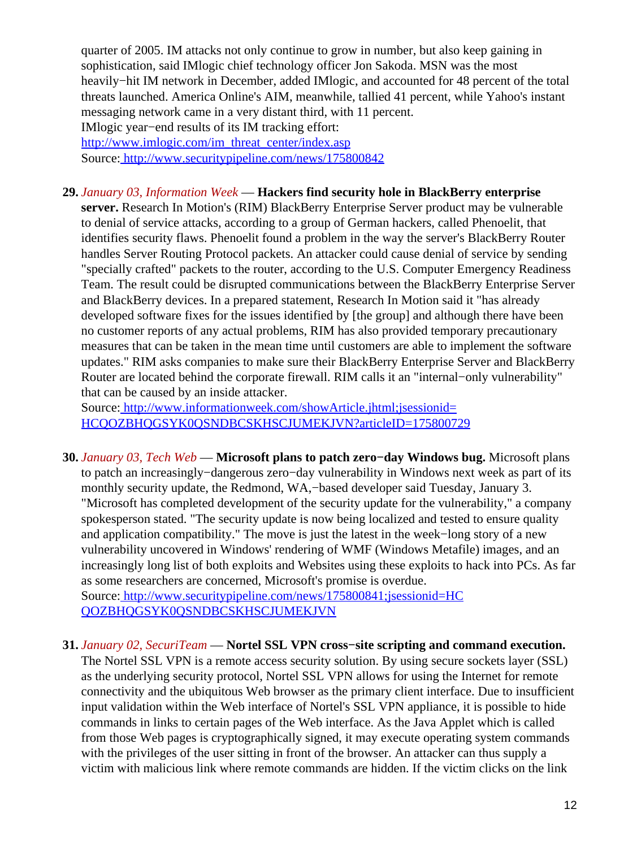quarter of 2005. IM attacks not only continue to grow in number, but also keep gaining in sophistication, said IMlogic chief technology officer Jon Sakoda. MSN was the most heavily−hit IM network in December, added IMlogic, and accounted for 48 percent of the total threats launched. America Online's AIM, meanwhile, tallied 41 percent, while Yahoo's instant messaging network came in a very distant third, with 11 percent. IMlogic year−end results of its IM tracking effort: [http://www.imlogic.com/im\\_threat\\_center/index.asp](http://www.imlogic.com/im_threat_center/index.asp) Source[: http://www.securitypipeline.com/news/175800842](http://www.securitypipeline.com/news/175800842)

#### **29.** *January 03, Information Week* — **Hackers find security hole in BlackBerry enterprise**

**server.** Research In Motion's (RIM) BlackBerry Enterprise Server product may be vulnerable to denial of service attacks, according to a group of German hackers, called Phenoelit, that identifies security flaws. Phenoelit found a problem in the way the server's BlackBerry Router handles Server Routing Protocol packets. An attacker could cause denial of service by sending "specially crafted" packets to the router, according to the U.S. Computer Emergency Readiness Team. The result could be disrupted communications between the BlackBerry Enterprise Server and BlackBerry devices. In a prepared statement, Research In Motion said it "has already developed software fixes for the issues identified by [the group] and although there have been no customer reports of any actual problems, RIM has also provided temporary precautionary measures that can be taken in the mean time until customers are able to implement the software updates." RIM asks companies to make sure their BlackBerry Enterprise Server and BlackBerry Router are located behind the corporate firewall. RIM calls it an "internal−only vulnerability" that can be caused by an inside attacker.

Source[: http://www.informationweek.com/showArticle.jhtml;jsessionid=](http://www.informationweek.com/showArticle.jhtml;jsessionid=HCQOZBHQGSYK0QSNDBCSKHSCJUMEKJVN?articleID=175800729) [HCQOZBHQGSYK0QSNDBCSKHSCJUMEKJVN?articleID=175800729](http://www.informationweek.com/showArticle.jhtml;jsessionid=HCQOZBHQGSYK0QSNDBCSKHSCJUMEKJVN?articleID=175800729)

**30.** *January 03, Tech Web* — **Microsoft plans to patch zero−day Windows bug.** Microsoft plans to patch an increasingly−dangerous zero−day vulnerability in Windows next week as part of its monthly security update, the Redmond, WA,−based developer said Tuesday, January 3. "Microsoft has completed development of the security update for the vulnerability," a company spokesperson stated. "The security update is now being localized and tested to ensure quality and application compatibility." The move is just the latest in the week−long story of a new vulnerability uncovered in Windows' rendering of WMF (Windows Metafile) images, and an increasingly long list of both exploits and Websites using these exploits to hack into PCs. As far as some researchers are concerned, Microsoft's promise is overdue. Source[: http://www.securitypipeline.com/news/175800841;jsessionid=HC](http://www.securitypipeline.com/news/175800841;jsessionid=HCQOZBHQGSYK0QSNDBCSKHSCJUMEKJVN)

[QOZBHQGSYK0QSNDBCSKHSCJUMEKJVN](http://www.securitypipeline.com/news/175800841;jsessionid=HCQOZBHQGSYK0QSNDBCSKHSCJUMEKJVN)

### **31.** *January 02, SecuriTeam* — **Nortel SSL VPN cross−site scripting and command execution.**

The Nortel SSL VPN is a remote access security solution. By using secure sockets layer (SSL) as the underlying security protocol, Nortel SSL VPN allows for using the Internet for remote connectivity and the ubiquitous Web browser as the primary client interface. Due to insufficient input validation within the Web interface of Nortel's SSL VPN appliance, it is possible to hide commands in links to certain pages of the Web interface. As the Java Applet which is called from those Web pages is cryptographically signed, it may execute operating system commands with the privileges of the user sitting in front of the browser. An attacker can thus supply a victim with malicious link where remote commands are hidden. If the victim clicks on the link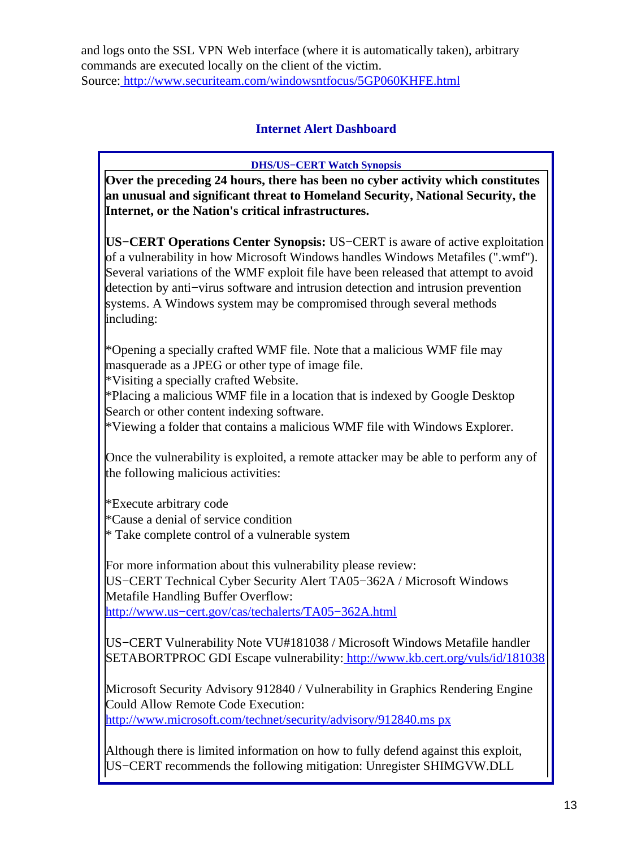<span id="page-12-0"></span>and logs onto the SSL VPN Web interface (where it is automatically taken), arbitrary commands are executed locally on the client of the victim. Source[: http://www.securiteam.com/windowsntfocus/5GP060KHFE.html](http://www.securiteam.com/windowsntfocus/5GP060KHFE.html)

### **Internet Alert Dashboard**

**DHS/US−CERT Watch Synopsis**

**Over the preceding 24 hours, there has been no cyber activity which constitutes an unusual and significant threat to Homeland Security, National Security, the Internet, or the Nation's critical infrastructures.**

**US−CERT Operations Center Synopsis:** US−CERT is aware of active exploitation of a vulnerability in how Microsoft Windows handles Windows Metafiles (".wmf"). Several variations of the WMF exploit file have been released that attempt to avoid detection by anti−virus software and intrusion detection and intrusion prevention systems. A Windows system may be compromised through several methods including:

\*Opening a specially crafted WMF file. Note that a malicious WMF file may masquerade as a JPEG or other type of image file.

\*Visiting a specially crafted Website.

\*Placing a malicious WMF file in a location that is indexed by Google Desktop Search or other content indexing software.

\*Viewing a folder that contains a malicious WMF file with Windows Explorer.

Once the vulnerability is exploited, a remote attacker may be able to perform any of the following malicious activities:

\*Execute arbitrary code

\*Cause a denial of service condition

\* Take complete control of a vulnerable system

For more information about this vulnerability please review: US−CERT Technical Cyber Security Alert TA05−362A / Microsoft Windows Metafile Handling Buffer Overflow: [http://www.us−cert.gov/cas/techalerts/TA05−362A.html](http://www.us-cert.gov/cas/techalerts/TA05-362A.html)

US−CERT Vulnerability Note VU#181038 / Microsoft Windows Metafile handler SETABORTPROC GDI Escape vulnerability:<http://www.kb.cert.org/vuls/id/181038>

Microsoft Security Advisory 912840 / Vulnerability in Graphics Rendering Engine Could Allow Remote Code Execution: [http://www.microsoft.com/technet/security/advisory/912840.ms px](http://www.microsoft.com/technet/security/advisory/912840.mspx)

Although there is limited information on how to fully defend against this exploit, US−CERT recommends the following mitigation: Unregister SHIMGVW.DLL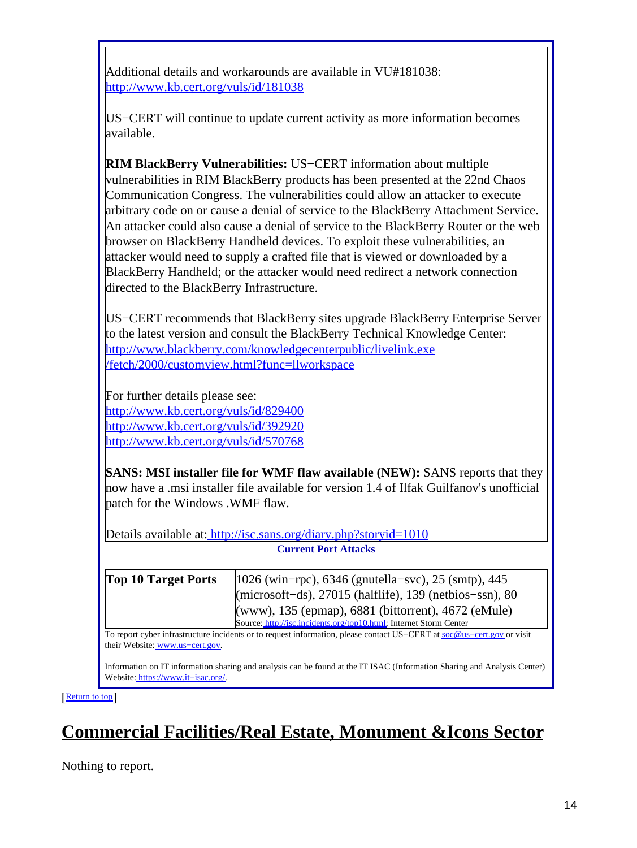Additional details and workarounds are available in VU#181038: [http://www.kb.cert.org/vuls/id/181038](http://www.kb.cert.org/vuls/id/181038<br><br>)

US−CERT will continue to update current activity as more information becomes available.

**RIM BlackBerry Vulnerabilities:** US−CERT information about multiple vulnerabilities in RIM BlackBerry products has been presented at the 22nd Chaos Communication Congress. The vulnerabilities could allow an attacker to execute arbitrary code on or cause a denial of service to the BlackBerry Attachment Service. An attacker could also cause a denial of service to the BlackBerry Router or the web browser on BlackBerry Handheld devices. To exploit these vulnerabilities, an attacker would need to supply a crafted file that is viewed or downloaded by a BlackBerry Handheld; or the attacker would need redirect a network connection directed to the BlackBerry Infrastructure.

US−CERT recommends that BlackBerry sites upgrade BlackBerry Enterprise Server to the latest version and consult the BlackBerry Technical Knowledge Center: [http://www.blackberry.com/knowledgecenterpublic/livelink.exe](http://www.blackberry.com/knowledgecenterpublic/livelink.exe/fetch/2000/customview.html?func=llworkspace) [/fetch/2000/customview.html?func=llworkspace](http://www.blackberry.com/knowledgecenterpublic/livelink.exe/fetch/2000/customview.html?func=llworkspace)

For further details please see: http://www.kb.cert.org/vuls/id/829400 <http://www.kb.cert.org/vuls/id/392920> <http://www.kb.cert.org/vuls/id/570768>

**SANS: MSI installer file for WMF flaw available (NEW):** SANS reports that they now have a .msi installer file available for version 1.4 of Ilfak Guilfanov's unofficial patch for the Windows .WMF flaw.

Details available at:<http://isc.sans.org/diary.php?storyid=1010> **Current Port Attacks**

| <b>Top 10 Target Ports</b> | $ 1026 \text{ (win–rpc)} , 6346 \text{ (gnutella–svc)} , 25 \text{ (sntp)} , 445$ |
|----------------------------|-----------------------------------------------------------------------------------|
|                            | (microsoft-ds), 27015 (halflife), 139 (netbios-ssn), 80                           |
|                            | (www), 135 (epmap), 6881 (bittorrent), 4672 (eMule)                               |
|                            | Source: http://isc.incidents.org/top10.html; Internet Storm Center                |

To report cyber infrastructure incidents or to request information, please contact US−CERT at [soc@us−cert.gov](mailto:soc@us-cert.gov) or visit their Website: [www.us−cert.gov.](http://www.us-cert.gov/)

Information on IT information sharing and analysis can be found at the IT ISAC (Information Sharing and Analysis Center) Website: [https://www.it−isac.org/.](https://www.it-isac.org/)

[[Return to top](#page-0-1)]

# <span id="page-13-0"></span>**Commercial Facilities/Real Estate, Monument &Icons Sector**

Nothing to report.